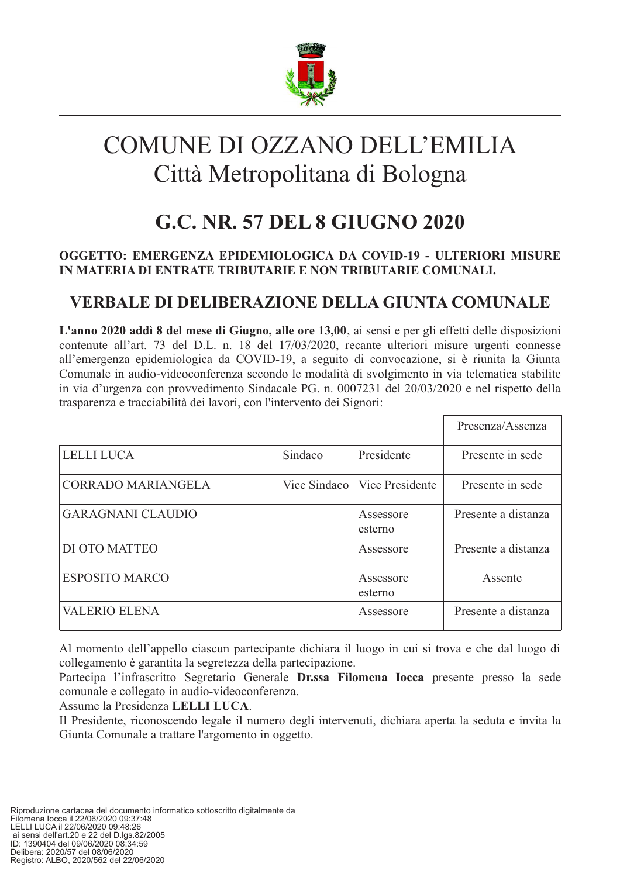

# COMUNE DI OZZANO DELL'EMILIA Città Metropolitana di Bologna

## G.C. NR. 57 DEL 8 GIUGNO 2020

#### OGGETTO: EMERGENZA EPIDEMIOLOGICA DA COVID-19 - ULTERIORI MISURE IN MATERIA DI ENTRATE TRIBUTARIE E NON TRIBUTARIE COMUNALI.

## VERBALE DI DELIBERAZIONE DELLA GIUNTA COMUNALE

L'anno 2020 addì 8 del mese di Giugno, alle ore 13,00, ai sensi e per gli effetti delle disposizioni contenute all'art. 73 del D.L. n. 18 del 17/03/2020, recante ulteriori misure urgenti connesse all'emergenza epidemiologica da COVID-19, a seguito di convocazione, si è riunita la Giunta Comunale in audio-videoconferenza secondo le modalità di svolgimento in via telematica stabilite in via d'urgenza con provvedimento Sindacale PG. n. 0007231 del 20/03/2020 e nel rispetto della trasparenza e tracciabilità dei lavori, con l'intervento dei Signori:

|                           |              |                      | Presenza/Assenza    |
|---------------------------|--------------|----------------------|---------------------|
| <b>LELLI LUCA</b>         | Sindaco      | Presidente           | Presente in sede    |
| <b>CORRADO MARIANGELA</b> | Vice Sindaco | Vice Presidente      | Presente in sede    |
| <b>GARAGNANI CLAUDIO</b>  |              | Assessore<br>esterno | Presente a distanza |
| DI OTO MATTEO             |              | Assessore            | Presente a distanza |
| <b>ESPOSITO MARCO</b>     |              | Assessore<br>esterno | Assente             |
| <b>VALERIO ELENA</b>      |              | Assessore            | Presente a distanza |

Al momento dell'appello ciascun partecipante dichiara il luogo in cui si trova e che dal luogo di collegamento è garantita la segretezza della partecipazione.

Partecipa l'infrascritto Segretario Generale Dr.ssa Filomena Iocca presente presso la sede comunale e collegato in audio-videoconferenza.

Assume la Presidenza LELLI LUCA.

Il Presidente, riconoscendo legale il numero degli intervenuti, dichiara aperta la seduta e invita la Giunta Comunale a trattare l'argomento in oggetto.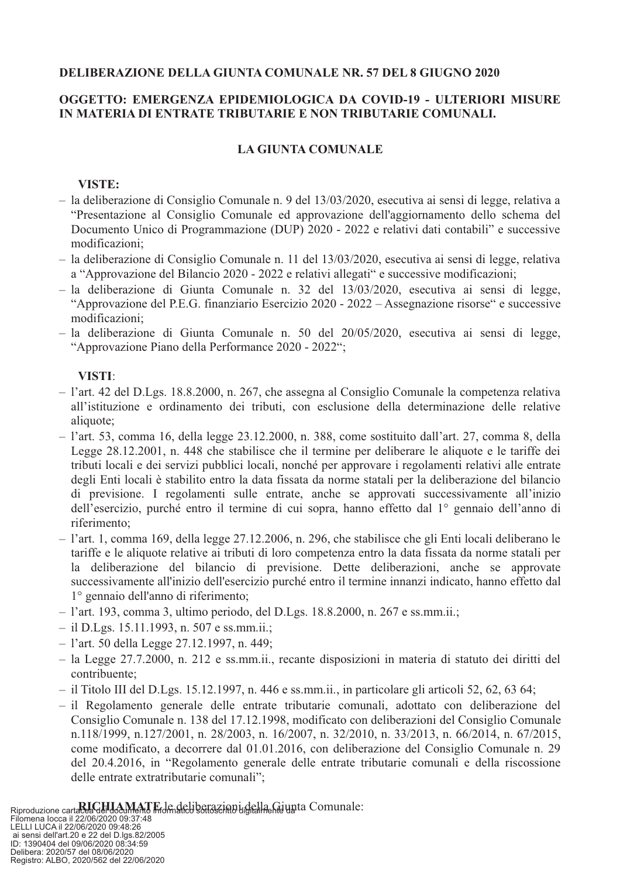#### **DELIBERAZIONE DELLA GIUNTA COMUNALE NR. 57 DEL 8 GIUGNO 2020**

#### OGGETTO: EMERGENZA EPIDEMIOLOGICA DA COVID-19 - ULTERIORI MISURE IN MATERIA DI ENTRATE TRIBUTARIE E NON TRIBUTARIE COMUNALI.

#### **LA GIUNTA COMUNALE**

#### VISTE:

- la deliberazione di Consiglio Comunale n. 9 del  $13/03/2020$ , esecutiva ai sensi di legge, relativa a "Presentazione al Consiglio Comunale ed approvazione dell'aggiornamento dello schema del Documento Unico di Programmazione (DUP) 2020 - 2022 e relativi dati contabili" e successive modificazioni;
- la deliberazione di Consiglio Comunale n. 11 del  $13/03/2020$ , esecutiva ai sensi di legge, relativa a "Approvazione del Bilancio 2020 - 2022 e relativi allegati" e successive modificazioni;
- la deliberazione di Giunta Comunale n. 32 del  $13/03/2020$ , esecutiva ai sensi di legge, "Approvazione del P.E.G. finanziario Esercizio 2020 - 2022 – Assegnazione risorse" e successive modificazioni:
- $-$  la deliberazione di Giunta Comunale n. 50 del  $20/05/2020$ , esecutiva ai sensi di legge, "Approvazione Piano della Performance 2020 - 2022";

#### VISTI:

- $-$  1'art. 42 del D.Lgs. 18.8.2000, n. 267, che assegna al Consiglio Comunale la competenza relativa all'istituzione e ordinamento dei tributi, con esclusione della determinazione delle relative aliquote;
- $-$  1'art. 53, comma 16, della legge 23.12.2000, n. 388, come sostituito dall'art. 27, comma 8, della Legge 28.12.2001, n. 448 che stabilisce che il termine per deliberare le aliquote e le tariffe dei tributi locali e dei servizi pubblici locali, nonché per approvare i regolamenti relativi alle entrate degli Enti locali è stabilito entro la data fissata da norme statali per la deliberazione del bilancio di previsione. I regolamenti sulle entrate, anche se approvati successivamente all'inizio dell'esercizio, purché entro il termine di cui sopra, hanno effetto dal 1<sup>°</sup> gennaio dell'anno di riferimento:
- l'art. 1, comma 169, della legge 27.12.2006, n. 296, che stabilisce che gli Enti locali deliberano le tariffe e le aliquote relative ai tributi di loro competenza entro la data fissata da norme statali per la deliberazione del bilancio di previsione. Dette deliberazioni, anche se approvate successivamente all'inizio dell'esercizio purché entro il termine innanzi indicato, hanno effetto dal l<sup>o</sup> gennaio dell'anno di riferimento;
- $-$  1'art. 193, comma 3, ultimo periodo, del D.Lgs. 18.8.2000, n. 267 e ss.mm.ii.;
- $-$  il D.Lgs. 15.11.1993, n. 507 e ss.mm.ii.;
- $-$  1'art. 50 della Legge 27.12.1997, n. 449;
- la Legge 27.7.2000, n. 212 e ss.mm.ii., recante disposizioni in materia di statuto dei diritti del contribuente;
- $-$  il Titolo III del D.Lgs. 15.12.1997, n. 446 e ss.mm.ii., in particolare gli articoli 52, 62, 63 64;
- il Regolamento generale delle entrate tributarie comunali, adottato con deliberazione del Consiglio Comunale n. 138 del 17.12.1998, modificato con deliberazioni del Consiglio Comunale n.118/1999, n.127/2001, n. 28/2003, n. 16/2007, n. 32/2010, n. 33/2013, n. 66/2014, n. 67/2015, come modificato, a decorrere dal 01.01.2016, con deliberazione del Consiglio Comunale n. 29 del 20.4.2016, in "Regolamento generale delle entrate tributarie comunali e della riscossione delle entrate extratributarie comunali";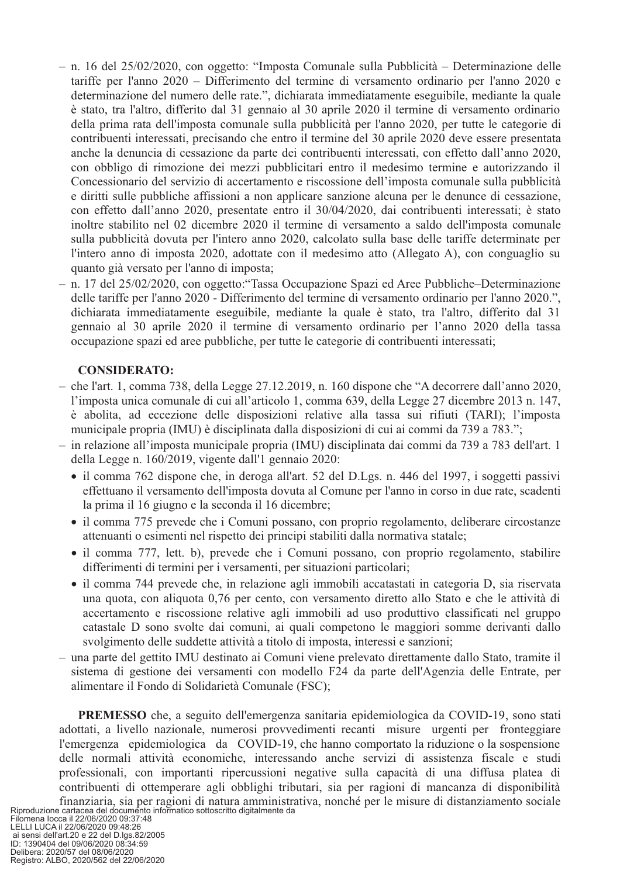- n. 16 del 25/02/2020, con oggetto: "Imposta Comunale sulla Pubblicità Determinazione delle tariffe per l'anno 2020 – Differimento del termine di versamento ordinario per l'anno 2020 e determinazione del numero delle rate.", dichiarata immediatamente eseguibile, mediante la quale è stato, tra l'altro, differito dal 31 gennaio al 30 aprile 2020 il termine di versamento ordinario della prima rata dell'imposta comunale sulla pubblicità per l'anno 2020, per tutte le categorie di contribuenti interessati, precisando che entro il termine del 30 aprile 2020 deve essere presentata anche la denuncia di cessazione da parte dei contribuenti interessati, con effetto dall'anno 2020, con obbligo di rimozione dei mezzi pubblicitari entro il medesimo termine e autorizzando il Concessionario del servizio di accertamento e riscossione dell'imposta comunale sulla pubblicità e diritti sulle pubbliche affissioni a non applicare sanzione alcuna per le denunce di cessazione, con effetto dall'anno 2020, presentate entro il 30/04/2020, dai contribuenti interessati; è stato inoltre stabilito nel 02 dicembre 2020 il termine di versamento a saldo dell'imposta comunale sulla pubblicità dovuta per l'intero anno 2020, calcolato sulla base delle tariffe determinate per l'intero anno di imposta 2020, adottate con il medesimo atto (Allegato A), con conguaglio su quanto già versato per l'anno di imposta;
- n. 17 del 25/02/2020, con oggetto: "Tassa Occupazione Spazi ed Aree Pubbliche-Determinazione delle tariffe per l'anno 2020 - Differimento del termine di versamento ordinario per l'anno 2020.", dichiarata immediatamente eseguibile, mediante la quale è stato, tra l'altro, differito dal 31 gennaio al 30 aprile 2020 il termine di versamento ordinario per l'anno 2020 della tassa occupazione spazi ed aree pubbliche, per tutte le categorie di contribuenti interessati;

#### **CONSIDERATO:**

- $-$  che l'art. 1, comma 738, della Legge 27.12.2019, n. 160 dispone che "A decorrere dall'anno 2020, l'imposta unica comunale di cui all'articolo 1, comma 639, della Legge 27 dicembre 2013 n. 147, è abolita, ad eccezione delle disposizioni relative alla tassa sui rifiuti (TARI): l'imposta municipale propria (IMU) è disciplinata dalla disposizioni di cui ai commi da 739 a 783.";
- in relazione all'imposta municipale propria (IMU) disciplinata dai commi da 739 a 783 dell'art. 1 della Legge n. 160/2019, vigente dall'1 gennaio 2020:
	- il comma 762 dispone che, in deroga all'art. 52 del D.Lgs. n. 446 del 1997, i soggetti passivi effettuano il versamento dell'imposta dovuta al Comune per l'anno in corso in due rate, scadenti la prima il 16 giugno e la seconda il 16 dicembre;
	- il comma 775 prevede che i Comuni possano, con proprio regolamento, deliberare circostanze attenuanti o esimenti nel rispetto dei principi stabiliti dalla normativa statale;
	- il comma 777, lett. b), prevede che i Comuni possano, con proprio regolamento, stabilire differimenti di termini per i versamenti, per situazioni particolari;
	- il comma 744 prevede che, in relazione agli immobili accatastati in categoria D, sia riservata una quota, con aliquota 0,76 per cento, con versamento diretto allo Stato e che le attività di accertamento e riscossione relative agli immobili ad uso produttivo classificati nel gruppo catastale D sono svolte dai comuni, ai quali competono le maggiori somme derivanti dallo svolgimento delle suddette attività a titolo di imposta, interessi e sanzioni;
- una parte del gettito IMU destinato ai Comuni viene prelevato direttamente dallo Stato, tramite il sistema di gestione dei versamenti con modello F24 da parte dell'Agenzia delle Entrate, per alimentare il Fondo di Solidarietà Comunale (FSC);

PREMESSO che, a seguito dell'emergenza sanitaria epidemiologica da COVID-19, sono stati adottati, a livello nazionale, numerosi provvedimenti recanti misure urgenti per fronteggiare l'emergenza epidemiologica da COVID-19, che hanno comportato la riduzione o la sospensione delle normali attività economiche, interessando anche servizi di assistenza fiscale e studi professionali, con importanti ripercussioni negative sulla capacità di una diffusa platea di contribuenti di ottemperare agli obblighi tributari, sia per ragioni di mancanza di disponibilità finanziaria, sia per ragioni di natura amministrativa, nonché per le misure di distanziamento sociale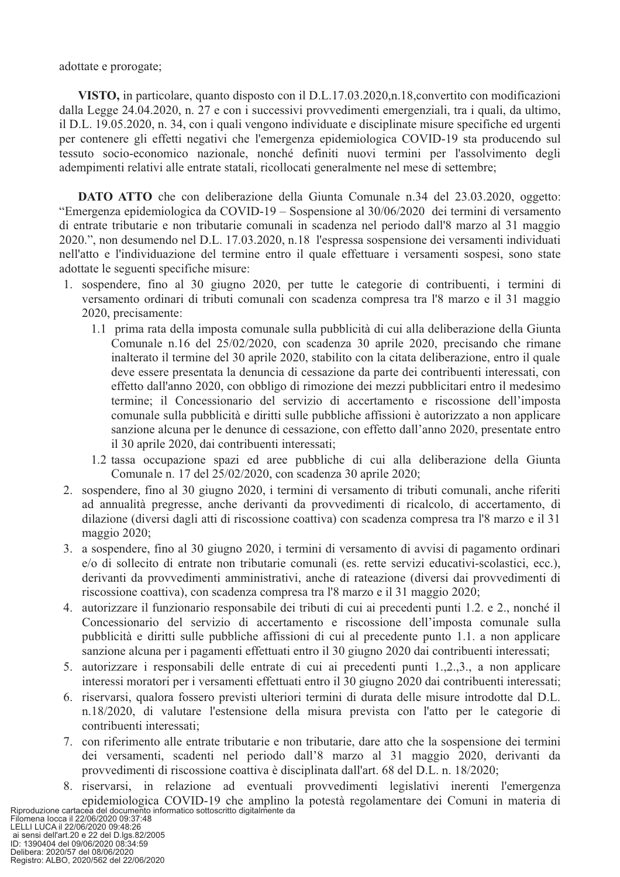adottate e prorogate;

VISTO, in particolare, quanto disposto con il D.L.17.03.2020, n.18, convertito con modificazioni dalla Legge 24.04.2020, n. 27 e con i successivi provvedimenti emergenziali, tra i quali, da ultimo, il D.L. 19.05.2020, n. 34, con i quali vengono individuate e disciplinate misure specifiche ed urgenti per contenere gli effetti negativi che l'emergenza epidemiologica COVID-19 sta producendo sul tessuto socio-economico nazionale, nonché definiti nuovi termini per l'assolvimento degli adempimenti relativi alle entrate statali, ricollocati generalmente nel mese di settembre;

**DATO ATTO** che con deliberazione della Giunta Comunale n.34 del 23.03.2020, oggetto: "Emergenza epidemiologica da COVID-19 – Sospensione al 30/06/2020 dei termini di versamento di entrate tributarie e non tributarie comunali in scadenza nel periodo dall'8 marzo al 31 maggio 2020.", non desumendo nel D.L. 17.03.2020, n.18 l'espressa sospensione dei versamenti individuati nell'atto e l'individuazione del termine entro il quale effettuare i versamenti sospesi, sono state adottate le seguenti specifiche misure:

- 1. sospendere, fino al 30 giugno 2020, per tutte le categorie di contribuenti, i termini di versamento ordinari di tributi comunali con scadenza compresa tra l'8 marzo e il 31 maggio 2020, precisamente:
	- 1.1 prima rata della imposta comunale sulla pubblicità di cui alla deliberazione della Giunta Comunale n.16 del 25/02/2020, con scadenza 30 aprile 2020, precisando che rimane inalterato il termine del 30 aprile 2020, stabilito con la citata deliberazione, entro il quale deve essere presentata la denuncia di cessazione da parte dei contribuenti interessati, con effetto dall'anno 2020, con obbligo di rimozione dei mezzi pubblicitari entro il medesimo termine; il Concessionario del servizio di accertamento e riscossione dell'imposta comunale sulla pubblicità e diritti sulle pubbliche affissioni è autorizzato a non applicare sanzione alcuna per le denunce di cessazione, con effetto dall'anno 2020, presentate entro il 30 aprile 2020, dai contribuenti interessati;
	- 1.2 tassa occupazione spazi ed aree pubbliche di cui alla deliberazione della Giunta Comunale n. 17 del 25/02/2020, con scadenza 30 aprile 2020;
- 2. sospendere, fino al 30 giugno 2020, i termini di versamento di tributi comunali, anche riferiti ad annualità pregresse, anche derivanti da provvedimenti di ricalcolo, di accertamento, di dilazione (diversi dagli atti di riscossione coattiva) con scadenza compresa tra l'8 marzo e il 31 maggio 2020;
- 3. a sospendere, fino al 30 giugno 2020, i termini di versamento di avvisi di pagamento ordinari e/o di sollecito di entrate non tributarie comunali (es. rette servizi educativi-scolastici, ecc.), derivanti da provvedimenti amministrativi, anche di rateazione (diversi dai provvedimenti di riscossione coattiva), con scadenza compresa tra l'8 marzo e il 31 maggio 2020;
- 4. autorizzare il funzionario responsabile dei tributi di cui ai precedenti punti 1.2. e 2., nonché il Concessionario del servizio di accertamento e riscossione dell'imposta comunale sulla pubblicità e diritti sulle pubbliche affissioni di cui al precedente punto 1.1, a non applicare sanzione alcuna per i pagamenti effettuati entro il 30 giugno 2020 dai contribuenti interessati;
- 5. autorizzare i responsabili delle entrate di cui ai precedenti punti 1,2,3, a non applicare interessi moratori per i versamenti effettuati entro il 30 giugno 2020 dai contribuenti interessati;
- 6. riservarsi, qualora fossero previsti ulteriori termini di durata delle misure introdotte dal D.L. n.18/2020, di valutare l'estensione della misura prevista con l'atto per le categorie di contribuenti interessati:
- 7. con riferimento alle entrate tributarie e non tributarie, dare atto che la sospensione dei termini dei versamenti, scadenti nel periodo dall'8 marzo al 31 maggio 2020, derivanti da provvedimenti di riscossione coattiva è disciplinata dall'art. 68 del D.L. n. 18/2020;
- 8. riservarsi, in relazione ad eventuali provvedimenti legislativi inerenti l'emergenza epidemiologica COVID-19 che amplino la potestà regolamentare dei Comuni in materia di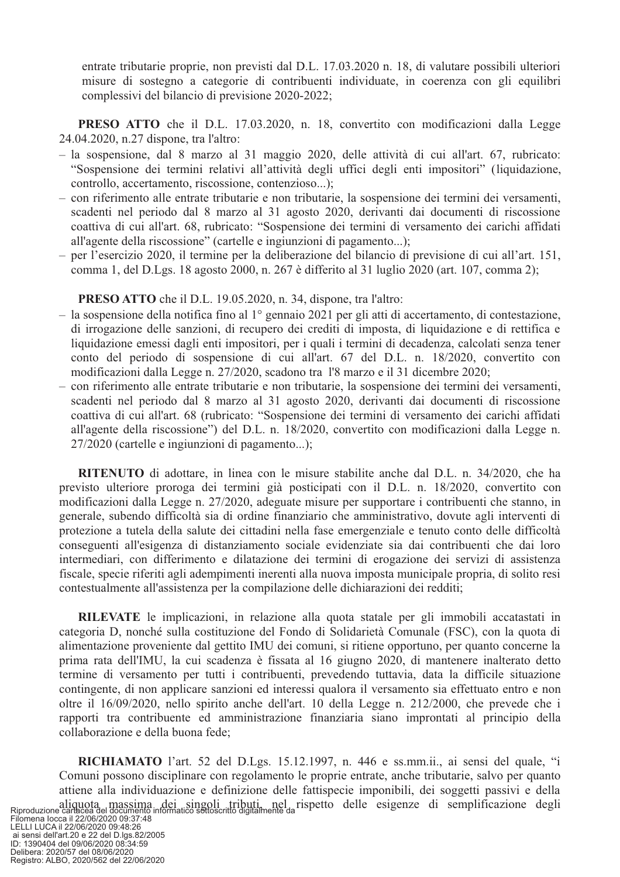entrate tributarie proprie, non previsti dal D.L. 17.03.2020 n. 18, di valutare possibili ulteriori misure di sostegno a categorie di contribuenti individuate, in coerenza con gli equilibri complessivi del bilancio di previsione 2020-2022;

**PRESO ATTO** che il D.L. 17.03.2020, n. 18, convertito con modificazioni dalla Legge 24.04.2020, n.27 dispone, tra l'altro:

- $-$  la sospensione, dal 8 marzo al 31 maggio 2020, delle attività di cui all'art. 67, rubricato: "Sospensione dei termini relativi all'attività degli uffici degli enti impositori" (liquidazione, controllo, accertamento, riscossione, contenzioso...);
- con riferimento alle entrate tributarie e non tributarie, la sospensione dei termini dei versamenti, scadenti nel periodo dal 8 marzo al 31 agosto 2020, derivanti dai documenti di riscossione coattiva di cui all'art. 68, rubricato: "Sospensione dei termini di versamento dei carichi affidati all'agente della riscossione" (cartelle e ingiunzioni di pagamento...);
- per l'esercizio 2020, il termine per la deliberazione del bilancio di previsione di cui all'art. 151, comma 1, del D.Lgs. 18 agosto 2000, n. 267 è differito al 31 luglio 2020 (art. 107, comma 2);

PRESO ATTO che il D.L. 19.05.2020, n. 34, dispone, tra l'altro:

- la sospensione della notifica fino al  $1^{\circ}$  gennaio 2021 per gli atti di accertamento, di contestazione, di irrogazione delle sanzioni, di recupero dei crediti di imposta, di liquidazione e di rettifica e liquidazione emessi dagli enti impositori, per i quali i termini di decadenza, calcolati senza tener conto del periodo di sospensione di cui all'art. 67 del D.L. n. 18/2020, convertito con modificazioni dalla Legge n. 27/2020, scadono tra 1'8 marzo e il 31 dicembre 2020;
- con riferimento alle entrate tributarie e non tributarie, la sospensione dei termini dei versamenti, scadenti nel periodo dal 8 marzo al 31 agosto 2020, derivanti dai documenti di riscossione coattiva di cui all'art. 68 (rubricato: "Sospensione dei termini di versamento dei carichi affidati all'agente della riscossione") del D.L. n. 18/2020, convertito con modificazioni dalla Legge n. 27/2020 (cartelle e ingiunzioni di pagamento...);

**RITENUTO** di adottare, in linea con le misure stabilite anche dal D.L. n. 34/2020, che ha previsto ulteriore proroga dei termini già posticipati con il D.L. n. 18/2020, convertito con modificazioni dalla Legge n. 27/2020, adeguate misure per supportare i contribuenti che stanno, in generale, subendo difficoltà sia di ordine finanziario che amministrativo, dovute agli interventi di protezione a tutela della salute dei cittadini nella fase emergenziale e tenuto conto delle difficoltà conseguenti all'esigenza di distanziamento sociale evidenziate sia dai contribuenti che dai loro intermediari, con differimento e dilatazione dei termini di erogazione dei servizi di assistenza fiscale, specie riferiti agli adempimenti inerenti alla nuova imposta municipale propria, di solito resi contestualmente all'assistenza per la compilazione delle dichiarazioni dei redditi;

RILEVATE le implicazioni, in relazione alla quota statale per gli immobili accatastati in categoria D, nonché sulla costituzione del Fondo di Solidarietà Comunale (FSC), con la quota di alimentazione proveniente dal gettito IMU dei comuni, si ritiene opportuno, per quanto concerne la prima rata dell'IMU, la cui scadenza è fissata al 16 giugno 2020, di mantenere inalterato detto termine di versamento per tutti i contribuenti, prevedendo tuttavia, data la difficile situazione contingente, di non applicare sanzioni ed interessi qualora il versamento sia effettuato entro e non oltre il 16/09/2020, nello spirito anche dell'art. 10 della Legge n. 212/2000, che prevede che i rapporti tra contribuente ed amministrazione finanziaria siano improntati al principio della collaborazione e della buona fede;

RICHIAMATO l'art. 52 del D.Lgs. 15.12.1997, n. 446 e ss.mm.ii., ai sensi del quale, "i Comuni possono disciplinare con regolamento le proprie entrate, anche tributarie, salvo per quanto attiene alla individuazione e definizione delle fattispecie imponibili, dei soggetti passivi e della Riproduzione cartecea del gocumento informatico settoscritto digitalmente da rispetto delle esigenze di semplificazione degli LELLI LUCA il 22/06/2020 09:48:26

LELL-1 LOCAT 2200/2020 09:34:59<br>22 del D. (195.82/2005<br>ID: 1390404 del 09/06/2020 08:34:59<br>Delibera: 2020/57 del 08/06/2020<br>Registro: ALBO, 2020/562 del 22/06/2020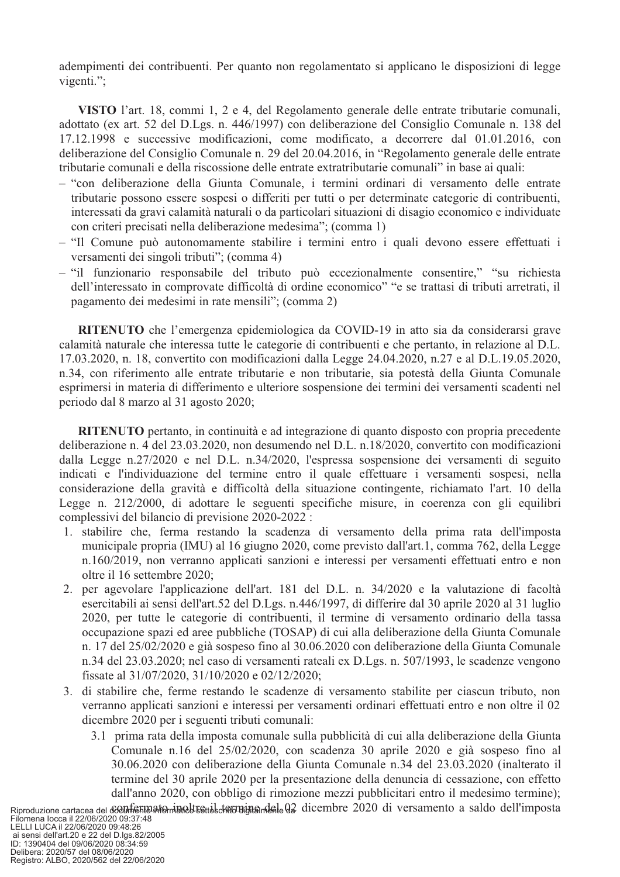adempimenti dei contribuenti. Per quanto non regolamentato si applicano le disposizioni di legge vigenti.";

VISTO l'art. 18, commi 1, 2 e 4, del Regolamento generale delle entrate tributarie comunali. adottato (ex art. 52 del D.Lgs. n. 446/1997) con deliberazione del Consiglio Comunale n. 138 del 17.12.1998 e successive modificazioni, come modificato, a decorrere dal 01.01.2016, con deliberazione del Consiglio Comunale n. 29 del 20.04.2016, in "Regolamento generale delle entrate tributarie comunali e della riscossione delle entrate extratributarie comunali" in base ai quali:

- "con deliberazione della Giunta Comunale, i termini ordinari di versamento delle entrate tributarie possono essere sospesi o differiti per tutti o per determinate categorie di contribuenti, interessati da gravi calamità naturali o da particolari situazioni di disagio economico e individuate con criteri precisati nella deliberazione medesima"; (comma 1)
- "Il Comune può autonomamente stabilire i termini entro i quali devono essere effettuati i versamenti dei singoli tributi"; (comma 4)
- "il funzionario responsabile del tributo può eccezionalmente consentire," "su richiesta dell'interessato in comprovate difficoltà di ordine economico" "e se trattasi di tributi arretrati, il pagamento dei medesimi in rate mensili"; (comma 2)

**RITENUTO** che l'emergenza epidemiologica da COVID-19 in atto sia da considerarsi grave calamità naturale che interessa tutte le categorie di contribuenti e che pertanto, in relazione al D.L. 17.03.2020, n. 18, convertito con modificazioni dalla Legge 24.04.2020, n.27 e al D.L.19.05.2020, n.34, con riferimento alle entrate tributarie e non tributarie, sia potestà della Giunta Comunale esprimersi in materia di differimento e ulteriore sospensione dei termini dei versamenti scadenti nel periodo dal 8 marzo al 31 agosto 2020;

RITENUTO pertanto, in continuità e ad integrazione di quanto disposto con propria precedente deliberazione n. 4 del 23.03.2020, non desumendo nel D.L. n.18/2020, convertito con modificazioni dalla Legge n.27/2020 e nel D.L. n.34/2020, l'espressa sospensione dei versamenti di seguito indicati e l'individuazione del termine entro il quale effettuare i versamenti sospesi, nella considerazione della gravità e difficoltà della situazione contingente, richiamato l'art. 10 della Legge n. 212/2000, di adottare le seguenti specifiche misure, in coerenza con gli equilibri complessivi del bilancio di previsione 2020-2022 :

- 1. stabilire che, ferma restando la scadenza di versamento della prima rata dell'imposta municipale propria (IMU) al 16 giugno 2020, come previsto dall'art.1, comma 762, della Legge n.160/2019, non verranno applicati sanzioni e interessi per versamenti effettuati entro e non oltre il 16 settembre 2020;
- 2. per agevolare l'applicazione dell'art. 181 del D.L. n. 34/2020 e la valutazione di facoltà esercitabili ai sensi dell'art.52 del D.Lgs. n.446/1997, di differire dal 30 aprile 2020 al 31 luglio 2020, per tutte le categorie di contribuenti, il termine di versamento ordinario della tassa occupazione spazi ed aree pubbliche (TOSAP) di cui alla deliberazione della Giunta Comunale n. 17 del 25/02/2020 e già sospeso fino al 30.06.2020 con deliberazione della Giunta Comunale n.34 del 23.03.2020; nel caso di versamenti rateali ex D.Lgs. n. 507/1993, le scadenze vengono fissate al 31/07/2020, 31/10/2020 e 02/12/2020;
- 3. di stabilire che, ferme restando le scadenze di versamento stabilite per ciascun tributo, non verranno applicati sanzioni e interessi per versamenti ordinari effettuati entro e non oltre il 02 dicembre 2020 per i seguenti tributi comunali:
	- 3.1 prima rata della imposta comunale sulla pubblicità di cui alla deliberazione della Giunta Comunale n.16 del 25/02/2020, con scadenza 30 aprile 2020 e già sospeso fino al 30.06.2020 con deliberazione della Giunta Comunale n.34 del 23.03.2020 (inalterato il termine del 30 aprile 2020 per la presentazione della denuncia di cessazione, con effetto dall'anno 2020, con obbligo di rimozione mezzi pubblicitari entro il medesimo termine);

Registro: ALBO, 2020/562 del 22/06/2020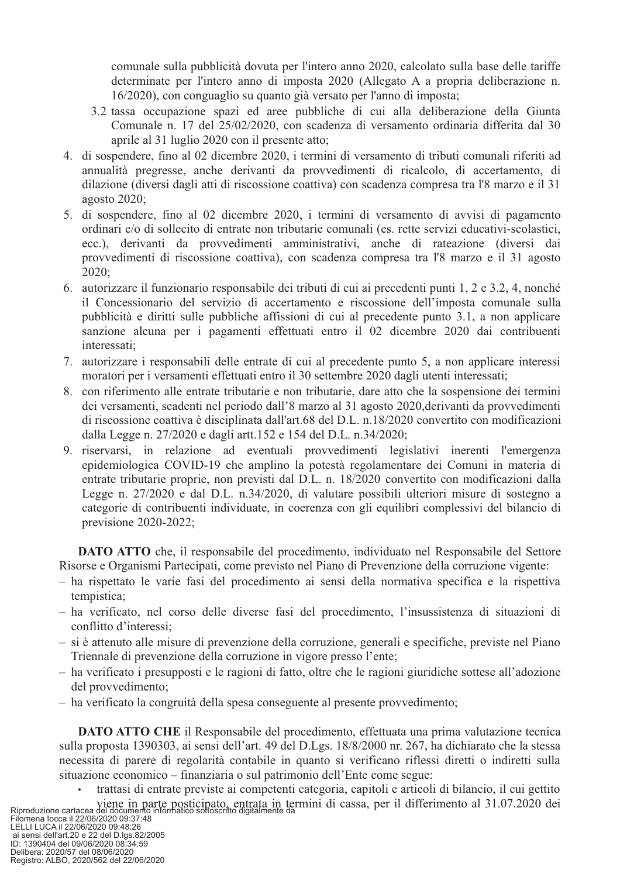comunale sulla pubblicità dovuta per l'intero anno 2020, calcolato sulla base delle tariffe determinate per l'intero anno di imposta 2020 (Allegato A a propria deliberazione n. 16/2020), con conguaglio su quanto già versato per l'anno di imposta;

- 3.2 tassa occupazione spazi ed aree pubbliche di cui alla deliberazione della Giunta Comunale n. 17 del 25/02/2020, con scadenza di versamento ordinaria differita dal 30 aprile al 31 luglio 2020 con il presente atto;
- 4. di sospendere, fino al 02 dicembre 2020, i termini di versamento di tributi comunali riferiti ad annualità pregresse, anche derivanti da provvedimenti di ricalcolo, di accertamento, di dilazione (diversi dagli atti di riscossione coattiva) con scadenza compresa tra l'8 marzo e il 31 agosto 2020;
- 5. di sospendere, fino al 02 dicembre 2020, i termini di versamento di avvisi di pagamento ordinari e/o di sollecito di entrate non tributarie comunali (es. rette servizi educativi-scolastici, ecc.), derivanti da provvedimenti amministrativi, anche di rateazione (diversi dai provvedimenti di riscossione coattiva), con scadenza compresa tra l'8 marzo e il 31 agosto  $2020:$
- 6. autorizzare il funzionario responsabile dei tributi di cui ai precedenti punti 1, 2 e 3.2, 4, nonché il Concessionario del servizio di accertamento e riscossione dell'imposta comunale sulla pubblicità e diritti sulle pubbliche affissioni di cui al precedente punto 3.1, a non applicare sanzione alcuna per i pagamenti effettuati entro il 02 dicembre 2020 dai contribuenti interessati;
- 7. autorizzare i responsabili delle entrate di cui al precedente punto 5, a non applicare interessi moratori per i versamenti effettuati entro il 30 settembre 2020 dagli utenti interessati;
- 8. con riferimento alle entrate tributarie e non tributarie, dare atto che la sospensione dei termini dei versamenti, scadenti nel periodo dall'8 marzo al 31 agosto 2020, derivanti da provvedimenti di riscossione coattiva è disciplinata dall'art.68 del D.L. n.18/2020 convertito con modificazioni dalla Legge n. 27/2020 e dagli artt.152 e 154 del D.L. n.34/2020;
- 9. riservarsi, in relazione ad eventuali provvedimenti legislativi inerenti l'emergenza epidemiologica COVID-19 che amplino la potestà regolamentare dei Comuni in materia di entrate tributarie proprie, non previsti dal D.L. n. 18/2020 convertito con modificazioni dalla Legge n. 27/2020 e dal D.L. n.34/2020, di valutare possibili ulteriori misure di sostegno a categorie di contribuenti individuate, in coerenza con gli equilibri complessivi del bilancio di previsione 2020-2022;

DATO ATTO che, il responsabile del procedimento, individuato nel Responsabile del Settore Risorse e Organismi Partecipati, come previsto nel Piano di Prevenzione della corruzione vigente:

- ha rispettato le varie fasi del procedimento ai sensi della normativa specifica e la rispettiva tempistica;
- ha verificato, nel corso delle diverse fasi del procedimento, l'insussistenza di situazioni di conflitto d'interessi:
- si è attenuto alle misure di prevenzione della corruzione, generali e specifiche, previste nel Piano Triennale di prevenzione della corruzione in vigore presso l'ente;
- ha verificato i presupposti e le ragioni di fatto, oltre che le ragioni giuridiche sottese all'adozione del provvedimento;
- ha verificato la congruità della spesa conseguente al presente provvedimento;

**DATO ATTO CHE** il Responsabile del procedimento, effettuata una prima valutazione tecnica sulla proposta 1390303, ai sensi dell'art. 49 del D.Lgs. 18/8/2000 nr. 267, ha dichiarato che la stessa necessita di parere di regolarità contabile in quanto si verificano riflessi diretti o indiretti sulla situazione economico – finanziaria o sul patrimonio dell'Ente come segue:

trattasi di entrate previste ai competenti categoria, capitoli e articoli di bilancio, il cui gettito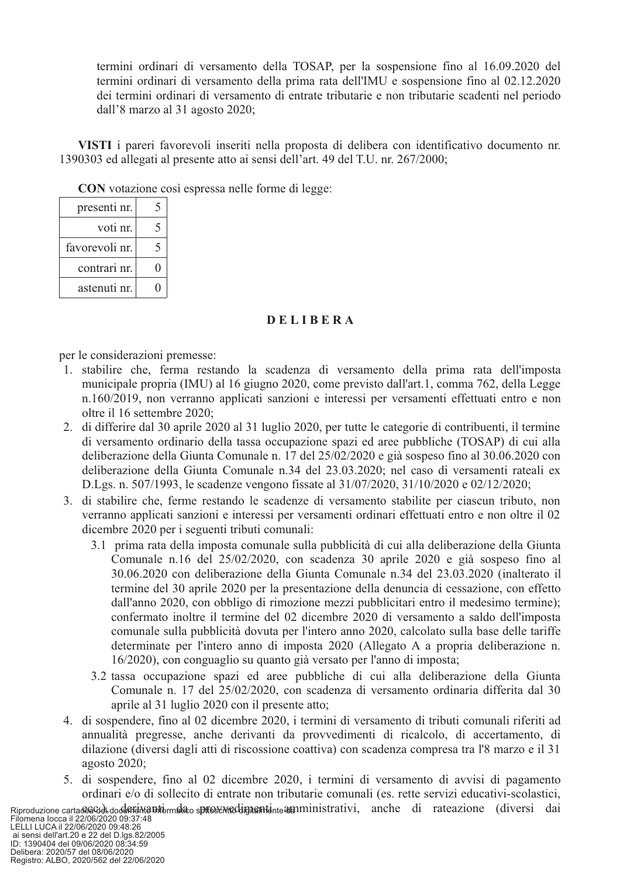termini ordinari di versamento della TOSAP, per la sospensione fino al 16.09.2020 del termini ordinari di versamento della prima rata dell'IMU e sospensione fino al 02.12.2020 dei termini ordinari di versamento di entrate tributarie e non tributarie scadenti nel periodo dall'8 marzo al 31 agosto 2020;

VISTI i pareri favorevoli inseriti nella proposta di delibera con identificativo documento nr. 1390303 ed allegati al presente atto ai sensi dell'art. 49 del T.U. nr. 267/2000;

**CON** votazione così espressa nelle forme di legge:

| presenti nr.   |   |
|----------------|---|
| voti nr.       | 5 |
| favorevoli nr. |   |
| contrari nr.   | 0 |
| astenuti nr.   |   |

#### DELIBERA

per le considerazioni premesse:

- 1. stabilire che, ferma restando la scadenza di versamento della prima rata dell'imposta municipale propria (IMU) al 16 giugno 2020, come previsto dall'art.1, comma 762, della Legge n.160/2019, non verranno applicati sanzioni e interessi per versamenti effettuati entro e non oltre il 16 settembre 2020;
- 2. di differire dal 30 aprile 2020 al 31 luglio 2020, per tutte le categorie di contribuenti, il termine di versamento ordinario della tassa occupazione spazi ed aree pubbliche (TOSAP) di cui alla deliberazione della Giunta Comunale n. 17 del 25/02/2020 e già sospeso fino al 30.06.2020 con deliberazione della Giunta Comunale n.34 del 23.03.2020; nel caso di versamenti rateali ex D.Lgs. n. 507/1993, le scadenze vengono fissate al 31/07/2020, 31/10/2020 e 02/12/2020;
- 3. di stabilire che, ferme restando le scadenze di versamento stabilite per ciascun tributo, non verranno applicati sanzioni e interessi per versamenti ordinari effettuati entro e non oltre il 02 dicembre 2020 per i seguenti tributi comunali:
	- 3.1 prima rata della imposta comunale sulla pubblicità di cui alla deliberazione della Giunta Comunale n.16 del 25/02/2020, con scadenza 30 aprile 2020 e già sospeso fino al 30.06.2020 con deliberazione della Giunta Comunale n.34 del 23.03.2020 (inalterato il termine del 30 aprile 2020 per la presentazione della denuncia di cessazione, con effetto dall'anno 2020, con obbligo di rimozione mezzi pubblicitari entro il medesimo termine); confermato inoltre il termine del 02 dicembre 2020 di versamento a saldo dell'imposta comunale sulla pubblicità dovuta per l'intero anno 2020, calcolato sulla base delle tariffe determinate per l'intero anno di imposta 2020 (Allegato A a propria deliberazione n. 16/2020), con conguaglio su quanto già versato per l'anno di imposta;
	- 3.2 tassa occupazione spazi ed aree pubbliche di cui alla deliberazione della Giunta Comunale n. 17 del 25/02/2020, con scadenza di versamento ordinaria differita dal 30 aprile al 31 luglio 2020 con il presente atto;
- 4. di sospendere, fino al 02 dicembre 2020, i termini di versamento di tributi comunali riferiti ad annualità pregresse, anche derivanti da provvedimenti di ricalcolo, di accertamento, di dilazione (diversi dagli atti di riscossione coattiva) con scadenza compresa tra l'8 marzo e il 31 agosto 2020;
- 5. di sospendere, fino al 02 dicembre 2020, i termini di versamento di avvisi di pagamento ordinari e/o di sollecito di entrate non tributarie comunali (es. rette servizi educativi-scolastici,

Riproduzione cartacea Gelede, documento de prosente dignanti e araministrativi, anche di rateazione (diversi dai Filomena locca il 22/06/2020 09:37:48<br>EELLI LUCA il 22/06/2020 09:37:48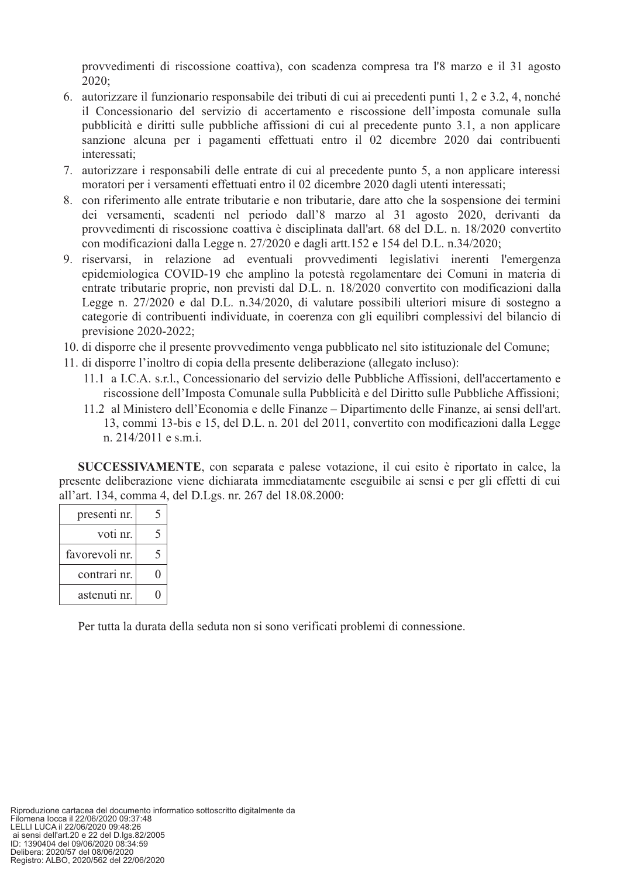provvedimenti di riscossione coattiva), con scadenza compresa tra l'8 marzo e il 31 agosto 2020;

- 6. autorizzare il funzionario responsabile dei tributi di cui ai precedenti punti 1, 2 e 3.2, 4, nonché il Concessionario del servizio di accertamento e riscossione dell'imposta comunale sulla pubblicità e diritti sulle pubbliche affissioni di cui al precedente punto 3.1, a non applicare sanzione alcuna per i pagamenti effettuati entro il 02 dicembre 2020 dai contribuenti interessati;
- 7. autorizzare i responsabili delle entrate di cui al precedente punto 5, a non applicare interessi moratori per i versamenti effettuati entro il 02 dicembre 2020 dagli utenti interessati;
- 8. con riferimento alle entrate tributarie e non tributarie, dare atto che la sospensione dei termini dei versamenti, scadenti nel periodo dall'8 marzo al 31 agosto 2020, derivanti da provvedimenti di riscossione coattiva è disciplinata dall'art. 68 del D.L. n. 18/2020 convertito con modificazioni dalla Legge n. 27/2020 e dagli artt.152 e 154 del D.L. n.34/2020;
- 9. riservarsi, in relazione ad eventuali provvedimenti legislativi inerenti l'emergenza epidemiologica COVID-19 che amplino la potestà regolamentare dei Comuni in materia di entrate tributarie proprie, non previsti dal D.L. n. 18/2020 convertito con modificazioni dalla Legge n. 27/2020 e dal D.L. n.34/2020, di valutare possibili ulteriori misure di sostegno a categorie di contribuenti individuate, in coerenza con gli equilibri complessivi del bilancio di previsione 2020-2022;
- 10. di disporre che il presente provvedimento venga pubblicato nel sito istituzionale del Comune;
- 11. di disporre l'inoltro di copia della presente deliberazione (allegato incluso):
	- 11.1 a I.C.A. s.r.l., Concessionario del servizio delle Pubbliche Affissioni, dell'accertamento e riscossione dell'Imposta Comunale sulla Pubblicità e del Diritto sulle Pubbliche Affissioni;
	- 11.2 al Ministero dell'Economia e delle Finanze Dipartimento delle Finanze, ai sensi dell'art. 13, commi 13-bis e 15, del D.L. n. 201 del 2011, convertito con modificazioni dalla Legge n. 214/2011 e s.m.i.

**SUCCESSIVAMENTE**, con separata e palese votazione, il cui esito è riportato in calce, la presente deliberazione viene dichiarata immediatamente eseguibile ai sensi e per gli effetti di cui all'art. 134, comma 4, del D.Lgs. nr. 267 del 18.08.2000:

| presenti nr.   |   |
|----------------|---|
| voti nr.       |   |
| favorevoli nr. | 5 |
| contrari nr.   |   |
| astenuti nr.   |   |

Per tutta la durata della seduta non si sono verificati problemi di connessione.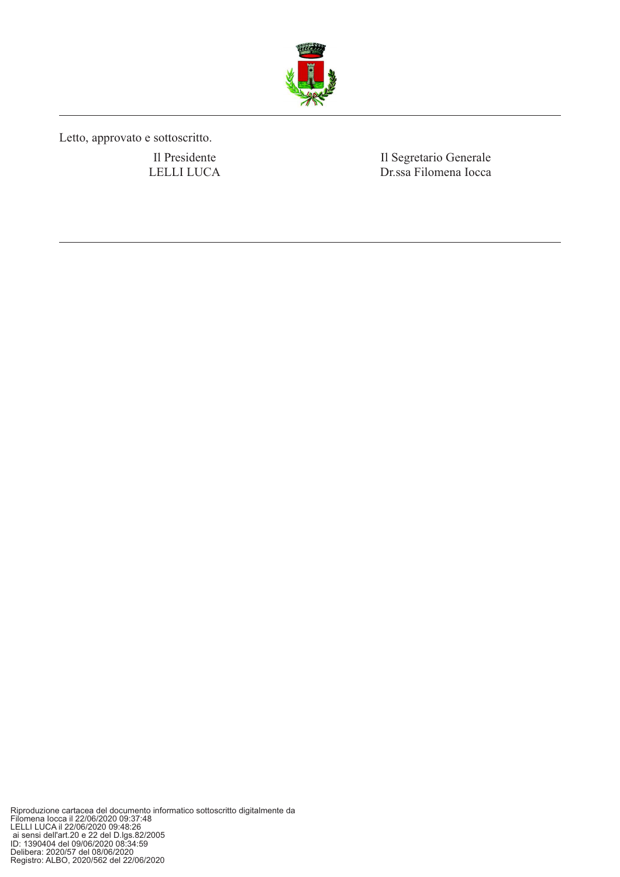

Letto, approvato e sottoscritto.

Il Presidente LELLI LUCA Il Segretario Generale Dr.ssa Filomena Iocca

Riproduzione cartacea del documento informatico sottoscritto digitalmente da<br>Filomena locca il 22/06/2020 09:37:48<br>LELLI LUCA il 22/06/2020 09:48:26<br>ai sensi dell'art.20 e 22 del D.lgs.82/2005<br>ID: 1390404 del 09/06/2020 08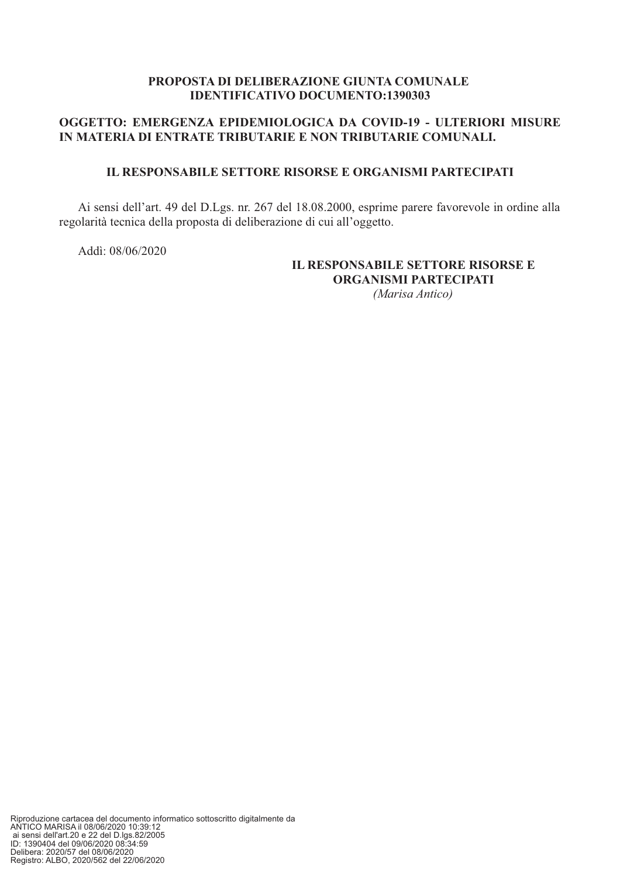#### PROPOSTA DI DELIBERAZIONE GIUNTA COMUNALE **IDENTIFICATIVO DOCUMENTO:1390303**

#### OGGETTO: EMERGENZA EPIDEMIOLOGICA DA COVID-19 - ULTERIORI MISURE IN MATERIA DI ENTRATE TRIBUTARIE E NON TRIBUTARIE COMUNALI.

#### **IL RESPONSABILE SETTORE RISORSE E ORGANISMI PARTECIPATI**

Ai sensi dell'art. 49 del D.Lgs. nr. 267 del 18.08.2000, esprime parere favorevole in ordine alla regolarità tecnica della proposta di deliberazione di cui all'oggetto.

Addi: 08/06/2020

### IL RESPONSABILE SETTORE RISORSE E ORGANISMI PARTECIPATI

(Marisa Antico)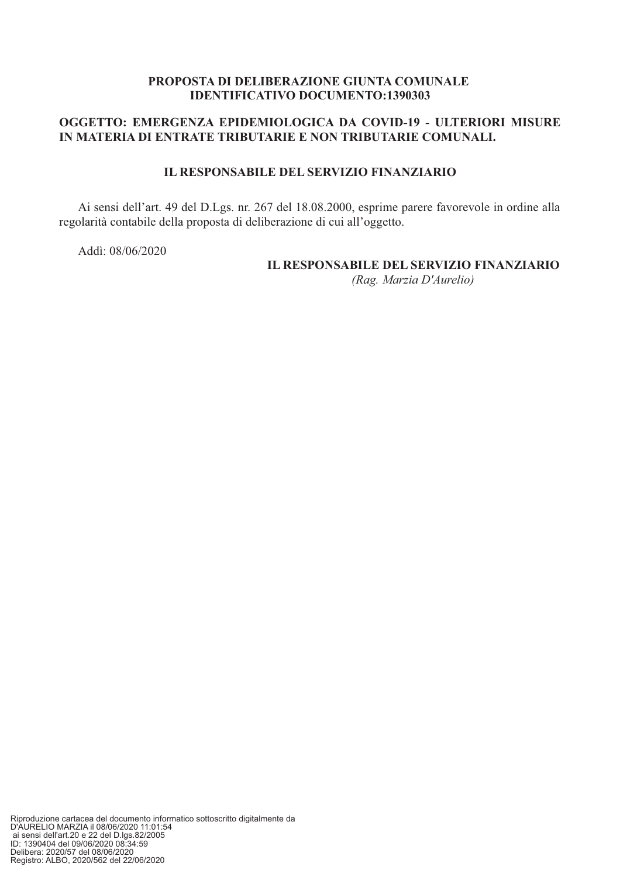#### PROPOSTA DI DELIBERAZIONE GIUNTA COMUNALE **IDENTIFICATIVO DOCUMENTO:1390303**

#### OGGETTO: EMERGENZA EPIDEMIOLOGICA DA COVID-19 - ULTERIORI MISURE IN MATERIA DI ENTRATE TRIBUTARIE E NON TRIBUTARIE COMUNALI.

#### **IL RESPONSABILE DEL SERVIZIO FINANZIARIO**

Ai sensi dell'art. 49 del D.Lgs. nr. 267 del 18.08.2000, esprime parere favorevole in ordine alla regolarità contabile della proposta di deliberazione di cui all'oggetto.

Addi: 08/06/2020

#### **IL RESPONSABILE DEL SERVIZIO FINANZIARIO** (Rag. Marzia D'Aurelio)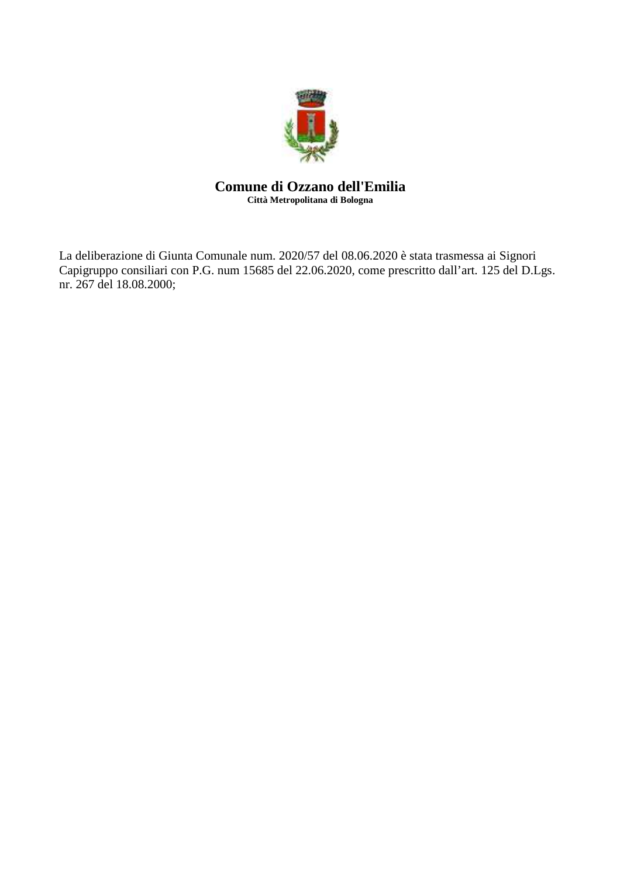

#### **Comune di Ozzano dell'Emilia Città Metropolitana di Bologna**

La deliberazione di Giunta Comunale num. 2020/57 del 08.06.2020 è stata trasmessa ai Signori Capigruppo consiliari con P.G. num 15685 del 22.06.2020, come prescritto dall'art. 125 del D.Lgs. nr. 267 del 18.08.2000;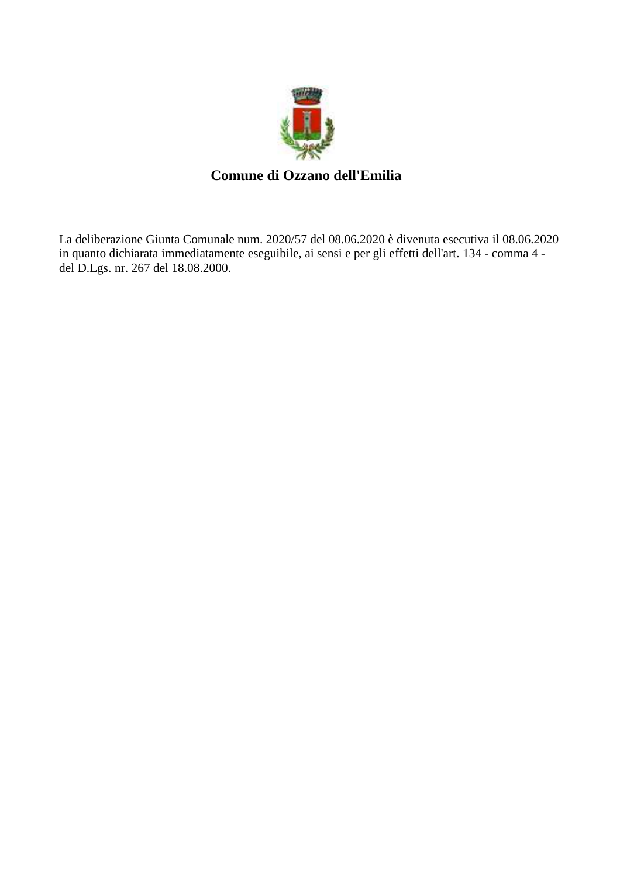

## **Comune di Ozzano dell'Emilia**

La deliberazione Giunta Comunale num. 2020/57 del 08.06.2020 è divenuta esecutiva il 08.06.2020 in quanto dichiarata immediatamente eseguibile, ai sensi e per gli effetti dell'art. 134 - comma 4 del D.Lgs. nr. 267 del 18.08.2000.